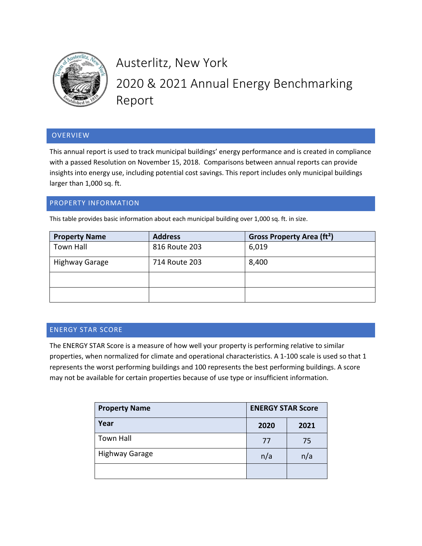

# Austerlitz, New York 2020 & 2021 Annual Energy Benchmarking Report

# OVERVIEW

This annual report is used to track municipal buildings' energy performance and is created in compliance with a passed Resolution on November 15, 2018. Comparisons between annual reports can provide insights into energy use, including potential cost savings. This report includes only municipal buildings larger than 1,000 sq. ft.

## PROPERTY INFORMATION

This table provides basic information about each municipal building over 1,000 sq. ft. in size.

| <b>Property Name</b>  | <b>Address</b> | Gross Property Area (ft <sup>2</sup> ) |
|-----------------------|----------------|----------------------------------------|
| Town Hall             | 816 Route 203  | 6,019                                  |
| <b>Highway Garage</b> | 714 Route 203  | 8,400                                  |
|                       |                |                                        |
|                       |                |                                        |

#### ENERGY STAR SCORE

The ENERGY STAR Score is a measure of how well your property is performing relative to similar properties, when normalized for climate and operational characteristics. A 1-100 scale is used so that 1 represents the worst performing buildings and 100 represents the best performing buildings. A score may not be available for certain properties because of use type or insufficient information.

| <b>Property Name</b>  | <b>ENERGY STAR Score</b> |      |
|-----------------------|--------------------------|------|
| Year                  | 2020                     | 2021 |
| <b>Town Hall</b>      | 77                       | 75   |
| <b>Highway Garage</b> | n/a                      | n/a  |
|                       |                          |      |